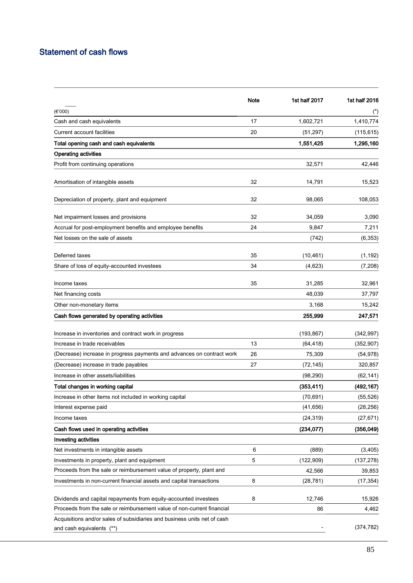## Statement of cash flows

|                                                                                                       | Note | 1st half 2017 | 1st half 2016         |
|-------------------------------------------------------------------------------------------------------|------|---------------|-----------------------|
| (€'000)                                                                                               |      |               | $(\dot{\phantom{a}})$ |
| Cash and cash equivalents                                                                             | 17   | 1,602,721     | 1,410,774             |
| <b>Current account facilities</b>                                                                     | 20   | (51, 297)     | (115, 615)            |
| Total opening cash and cash equivalents                                                               |      | 1,551,425     | 1,295,160             |
| <b>Operating activities</b>                                                                           |      |               |                       |
| Profit from continuing operations                                                                     |      | 32,571        | 42,446                |
| Amortisation of intangible assets                                                                     | 32   | 14,791        | 15,523                |
| Depreciation of property, plant and equipment                                                         | 32   | 98,065        | 108,053               |
| Net impairment losses and provisions                                                                  | 32   | 34,059        | 3,090                 |
| Accrual for post-employment benefits and employee benefits                                            | 24   | 9,847         | 7,211                 |
| Net losses on the sale of assets                                                                      |      | (742)         | (6, 353)              |
| Deferred taxes                                                                                        | 35   | (10, 461)     | (1, 192)              |
| Share of loss of equity-accounted investees                                                           | 34   | (4,623)       | (7, 208)              |
| Income taxes                                                                                          | 35   | 31,285        | 32,961                |
| Net financing costs                                                                                   |      | 48,039        | 37,797                |
| Other non-monetary items                                                                              |      | 3,168         | 15,242                |
| Cash flows generated by operating activities                                                          |      | 255,999       | 247,571               |
| Increase in inventories and contract work in progress                                                 |      | (193, 867)    | (342, 997)            |
| Increase in trade receivables                                                                         | 13   | (64, 418)     | (352, 907)            |
| (Decrease) increase in progress payments and advances on contract work                                | 26   | 75,309        | (54, 978)             |
| (Decrease) increase in trade payables                                                                 | 27   | (72, 145)     | 320,857               |
| Increase in other assets/liabilities                                                                  |      | (98, 290)     | (62, 141)             |
| Total changes in working capital                                                                      |      | (353, 411)    | (492, 167)            |
| Increase in other items not included in working capital                                               |      | (70, 691)     | (55, 526)             |
| Interest expense paid                                                                                 |      | (41, 656)     | (28, 256)             |
| Income taxes                                                                                          |      | (24, 319)     | (27, 671)             |
| Cash flows used in operating activities                                                               |      | (234, 077)    | (356, 049)            |
| <b>Investing activities</b>                                                                           |      |               |                       |
| Net investments in intangible assets                                                                  | 6    | (889)         | (3,405)               |
| Investments in property, plant and equipment                                                          | 5    | (122, 909)    | (137, 278)            |
| Proceeds from the sale or reimbursement value of property, plant and                                  |      | 42,566        | 39,853                |
| Investments in non-current financial assets and capital transactions                                  | 8    | (28, 781)     | (17, 354)             |
| Dividends and capital repayments from equity-accounted investees                                      | 8    | 12,746        | 15,926                |
| Proceeds from the sale or reimbursement value of non-current financial                                |      | 86            | 4,462                 |
| Acquisitions and/or sales of subsidiaries and business units net of cash<br>and cash equivalents (**) |      |               | (374, 782)            |
|                                                                                                       |      |               |                       |